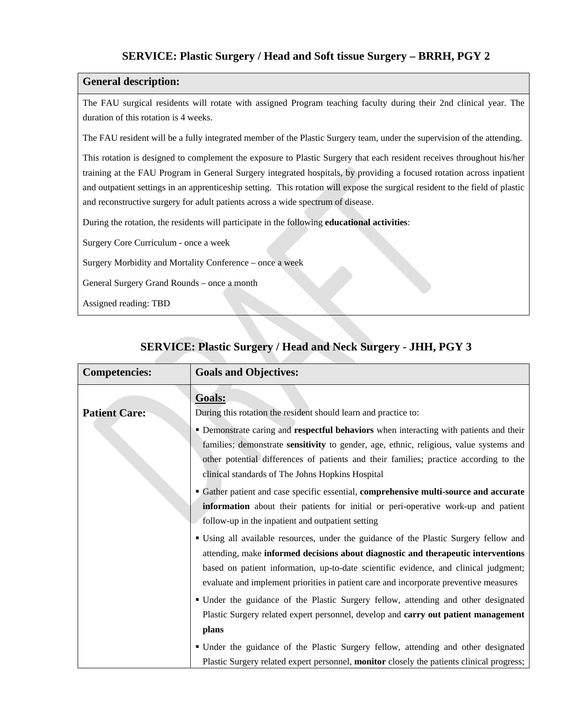# **SERVICE: Plastic Surgery / Head and Soft tissue Surgery – BRRH, PGY 2**

# **General description:**

The FAU surgical residents will rotate with assigned Program teaching faculty during their 2nd clinical year. The duration of this rotation is 4 weeks.

The FAU resident will be a fully integrated member of the Plastic Surgery team, under the supervision of the attending.

This rotation is designed to complement the exposure to Plastic Surgery that each resident receives throughout his/her training at the FAU Program in General Surgery integrated hospitals, by providing a focused rotation across inpatient and outpatient settings in an apprenticeship setting. This rotation will expose the surgical resident to the field of plastic and reconstructive surgery for adult patients across a wide spectrum of disease.

During the rotation, the residents will participate in the following **educational activities**:

Surgery Core Curriculum - once a week

Surgery Morbidity and Mortality Conference – once a week

General Surgery Grand Rounds – once a month

Assigned reading: TBD

| <b>Competencies:</b> | <b>Goals and Objectives:</b>                                                               |
|----------------------|--------------------------------------------------------------------------------------------|
|                      | <b>Goals:</b>                                                                              |
| <b>Patient Care:</b> | During this rotation the resident should learn and practice to:                            |
|                      | • Demonstrate caring and respectful behaviors when interacting with patients and their     |
|                      | families; demonstrate sensitivity to gender, age, ethnic, religious, value systems and     |
|                      | other potential differences of patients and their families; practice according to the      |
|                      | clinical standards of The Johns Hopkins Hospital                                           |
|                      | <b>Gather patient and case specific essential, comprehensive multi-source and accurate</b> |
|                      | information about their patients for initial or peri-operative work-up and patient         |
|                      | follow-up in the inpatient and outpatient setting                                          |
|                      | " Using all available resources, under the guidance of the Plastic Surgery fellow and      |
|                      | attending, make informed decisions about diagnostic and therapeutic interventions          |
|                      | based on patient information, up-to-date scientific evidence, and clinical judgment;       |
|                      | evaluate and implement priorities in patient care and incorporate preventive measures      |
|                      | • Under the guidance of the Plastic Surgery fellow, attending and other designated         |
|                      | Plastic Surgery related expert personnel, develop and carry out patient management         |
|                      | plans                                                                                      |
|                      | • Under the guidance of the Plastic Surgery fellow, attending and other designated         |
|                      | Plastic Surgery related expert personnel, monitor closely the patients clinical progress;  |

# **SERVICE: Plastic Surgery / Head and Neck Surgery - JHH, PGY 3**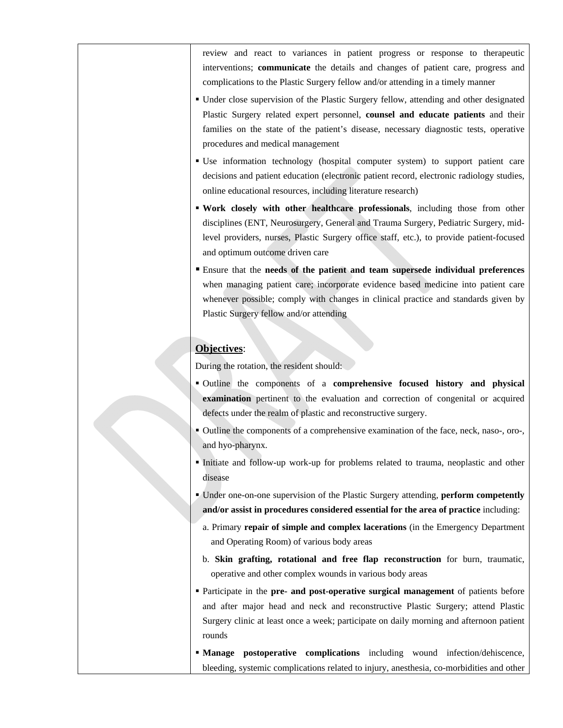review and react to variances in patient progress or response to therapeutic interventions; **communicate** the details and changes of patient care, progress and complications to the Plastic Surgery fellow and/or attending in a timely manner

- Under close supervision of the Plastic Surgery fellow, attending and other designated Plastic Surgery related expert personnel, **counsel and educate patients** and their families on the state of the patient's disease, necessary diagnostic tests, operative procedures and medical management
- Use information technology (hospital computer system) to support patient care decisions and patient education (electronic patient record, electronic radiology studies, online educational resources, including literature research)
- **Work closely with other healthcare professionals**, including those from other disciplines (ENT, Neurosurgery, General and Trauma Surgery, Pediatric Surgery, midlevel providers, nurses, Plastic Surgery office staff, etc.), to provide patient-focused and optimum outcome driven care
- Ensure that the **needs of the patient and team supersede individual preferences** when managing patient care; incorporate evidence based medicine into patient care whenever possible; comply with changes in clinical practice and standards given by Plastic Surgery fellow and/or attending

# **Objectives**:

During the rotation, the resident should:

- Outline the components of a **comprehensive focused history and physical examination** pertinent to the evaluation and correction of congenital or acquired defects under the realm of plastic and reconstructive surgery.
- Outline the components of a comprehensive examination of the face, neck, naso-, oro-, and hyo-pharynx.
- Initiate and follow-up work-up for problems related to trauma, neoplastic and other disease
- Under one-on-one supervision of the Plastic Surgery attending, **perform competently and/or assist in procedures considered essential for the area of practice** including:
	- a. Primary **repair of simple and complex lacerations** (in the Emergency Department and Operating Room) of various body areas
	- b. **Skin grafting, rotational and free flap reconstruction** for burn, traumatic, operative and other complex wounds in various body areas
- Participate in the **pre- and post-operative surgical management** of patients before and after major head and neck and reconstructive Plastic Surgery; attend Plastic Surgery clinic at least once a week; participate on daily morning and afternoon patient rounds
- **Manage postoperative complications** including wound infection/dehiscence, bleeding, systemic complications related to injury, anesthesia, co-morbidities and other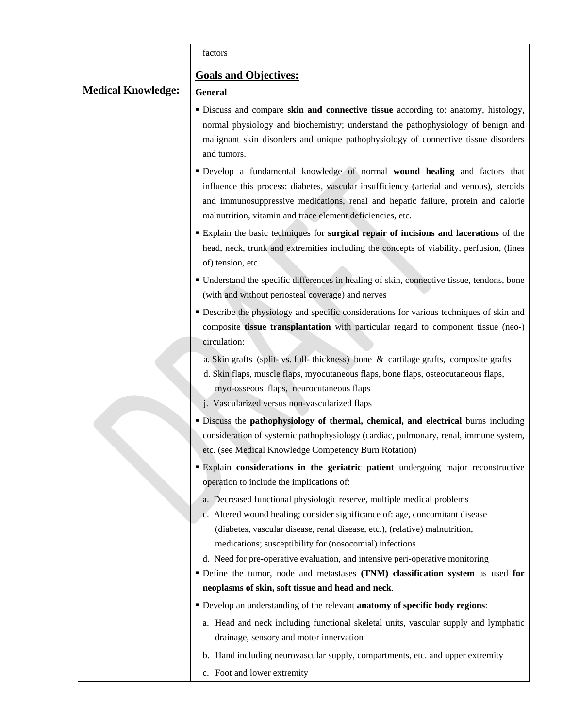|                           | factors                                                                                                                                                                                                                                                                                                                 |
|---------------------------|-------------------------------------------------------------------------------------------------------------------------------------------------------------------------------------------------------------------------------------------------------------------------------------------------------------------------|
|                           | <b>Goals and Objectives:</b>                                                                                                                                                                                                                                                                                            |
| <b>Medical Knowledge:</b> | <b>General</b>                                                                                                                                                                                                                                                                                                          |
|                           | " Discuss and compare skin and connective tissue according to: anatomy, histology,<br>normal physiology and biochemistry; understand the pathophysiology of benign and<br>malignant skin disorders and unique pathophysiology of connective tissue disorders<br>and tumors.                                             |
|                           | Develop a fundamental knowledge of normal wound healing and factors that<br>influence this process: diabetes, vascular insufficiency (arterial and venous), steroids<br>and immunosuppressive medications, renal and hepatic failure, protein and calorie<br>malnutrition, vitamin and trace element deficiencies, etc. |
|                           | " Explain the basic techniques for surgical repair of incisions and lacerations of the<br>head, neck, trunk and extremities including the concepts of viability, perfusion, (lines<br>of) tension, etc.                                                                                                                 |
|                           | • Understand the specific differences in healing of skin, connective tissue, tendons, bone<br>(with and without periosteal coverage) and nerves                                                                                                                                                                         |
|                           | • Describe the physiology and specific considerations for various techniques of skin and<br>composite tissue transplantation with particular regard to component tissue (neo-)<br>circulation:                                                                                                                          |
|                           | a. Skin grafts (split- vs. full- thickness) bone & cartilage grafts, composite grafts                                                                                                                                                                                                                                   |
|                           | d. Skin flaps, muscle flaps, myocutaneous flaps, bone flaps, osteocutaneous flaps,                                                                                                                                                                                                                                      |
|                           | myo-osseous flaps, neurocutaneous flaps                                                                                                                                                                                                                                                                                 |
|                           | j. Vascularized versus non-vascularized flaps                                                                                                                                                                                                                                                                           |
|                           | " Discuss the pathophysiology of thermal, chemical, and electrical burns including<br>consideration of systemic pathophysiology (cardiac, pulmonary, renal, immune system,<br>etc. (see Medical Knowledge Competency Burn Rotation)                                                                                     |
|                           | <b>Explain considerations in the geriatric patient</b> undergoing major reconstructive                                                                                                                                                                                                                                  |
|                           | operation to include the implications of:                                                                                                                                                                                                                                                                               |
|                           | a. Decreased functional physiologic reserve, multiple medical problems<br>c. Altered wound healing; consider significance of: age, concomitant disease<br>(diabetes, vascular disease, renal disease, etc.), (relative) malnutrition,<br>medications; susceptibility for (nosocomial) infections                        |
|                           | d. Need for pre-operative evaluation, and intensive peri-operative monitoring                                                                                                                                                                                                                                           |
|                           | · Define the tumor, node and metastases (TNM) classification system as used for                                                                                                                                                                                                                                         |
|                           | neoplasms of skin, soft tissue and head and neck.                                                                                                                                                                                                                                                                       |
|                           | • Develop an understanding of the relevant anatomy of specific body regions:                                                                                                                                                                                                                                            |
|                           | a. Head and neck including functional skeletal units, vascular supply and lymphatic                                                                                                                                                                                                                                     |
|                           | drainage, sensory and motor innervation                                                                                                                                                                                                                                                                                 |
|                           | b. Hand including neurovascular supply, compartments, etc. and upper extremity                                                                                                                                                                                                                                          |
|                           | c. Foot and lower extremity                                                                                                                                                                                                                                                                                             |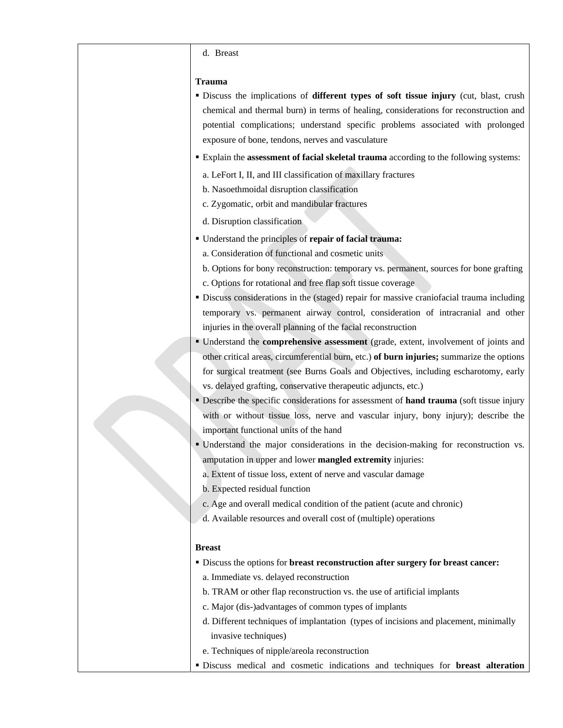#### d. Breast

#### **Trauma**

- Discuss the implications of **different types of soft tissue injury** (cut, blast, crush chemical and thermal burn) in terms of healing, considerations for reconstruction and potential complications; understand specific problems associated with prolonged exposure of bone, tendons, nerves and vasculature
- Explain the **assessment of facial skeletal trauma** according to the following systems:
	- a. LeFort I, II, and III classification of maxillary fractures
	- b. Nasoethmoidal disruption classification
	- c. Zygomatic, orbit and mandibular fractures
	- d. Disruption classification
- Understand the principles of **repair of facial trauma:** 
	- a. Consideration of functional and cosmetic units
	- b. Options for bony reconstruction: temporary vs. permanent, sources for bone grafting
	- c. Options for rotational and free flap soft tissue coverage
- Discuss considerations in the (staged) repair for massive craniofacial trauma including temporary vs. permanent airway control, consideration of intracranial and other injuries in the overall planning of the facial reconstruction
- Understand the **comprehensive assessment** (grade, extent, involvement of joints and other critical areas, circumferential burn, etc.) **of burn injuries;** summarize the options for surgical treatment (see Burns Goals and Objectives, including escharotomy, early vs. delayed grafting, conservative therapeutic adjuncts, etc.)
- **Describe the specific considerations for assessment of <b>hand trauma** (soft tissue injury with or without tissue loss, nerve and vascular injury, bony injury); describe the important functional units of the hand
- Understand the major considerations in the decision-making for reconstruction vs. amputation in upper and lower **mangled extremity** injuries:
	- a. Extent of tissue loss, extent of nerve and vascular damage
	- b. Expected residual function
	- c. Age and overall medical condition of the patient (acute and chronic)
	- d. Available resources and overall cost of (multiple) operations

### **Breast**

- Discuss the options for **breast reconstruction after surgery for breast cancer:**
	- a. Immediate vs. delayed reconstruction
	- b. TRAM or other flap reconstruction vs. the use of artificial implants
	- c. Major (dis-)advantages of common types of implants
	- d. Different techniques of implantation (types of incisions and placement, minimally invasive techniques)
	- e. Techniques of nipple/areola reconstruction
- Discuss medical and cosmetic indications and techniques for **breast alteration**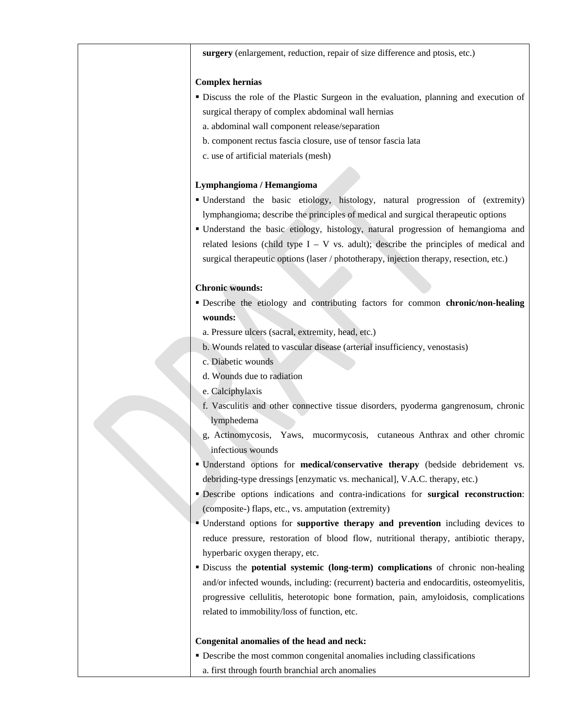**surgery** (enlargement, reduction, repair of size difference and ptosis, etc.)

#### **Complex hernias**

- Discuss the role of the Plastic Surgeon in the evaluation, planning and execution of surgical therapy of complex abdominal wall hernias
	- a. abdominal wall component release/separation
	- b. component rectus fascia closure, use of tensor fascia lata
	- c. use of artificial materials (mesh)

## **Lymphangioma / Hemangioma**

- Understand the basic etiology, histology, natural progression of (extremity) lymphangioma; describe the principles of medical and surgical therapeutic options
- Understand the basic etiology, histology, natural progression of hemangioma and related lesions (child type  $I - V$  vs. adult); describe the principles of medical and surgical therapeutic options (laser / phototherapy, injection therapy, resection, etc.)

## **Chronic wounds:**

- Describe the etiology and contributing factors for common **chronic/non-healing wounds:**
- a. Pressure ulcers (sacral, extremity, head, etc.)
- b. Wounds related to vascular disease (arterial insufficiency, venostasis)
- c. Diabetic wounds
- d. Wounds due to radiation
- e. Calciphylaxis
- f. Vasculitis and other connective tissue disorders, pyoderma gangrenosum, chronic lymphedema
- g, Actinomycosis, Yaws, mucormycosis, cutaneous Anthrax and other chromic infectious wounds
- Understand options for **medical/conservative therapy** (bedside debridement vs. debriding-type dressings [enzymatic vs. mechanical], V.A.C. therapy, etc.)
- Describe options indications and contra-indications for **surgical reconstruction**: (composite-) flaps, etc., vs. amputation (extremity)
- Understand options for **supportive therapy and prevention** including devices to reduce pressure, restoration of blood flow, nutritional therapy, antibiotic therapy, hyperbaric oxygen therapy, etc.
- Discuss the **potential systemic (long-term) complications** of chronic non-healing and/or infected wounds, including: (recurrent) bacteria and endocarditis, osteomyelitis, progressive cellulitis, heterotopic bone formation, pain, amyloidosis, complications related to immobility/loss of function, etc.

#### **Congenital anomalies of the head and neck:**

 Describe the most common congenital anomalies including classifications a. first through fourth branchial arch anomalies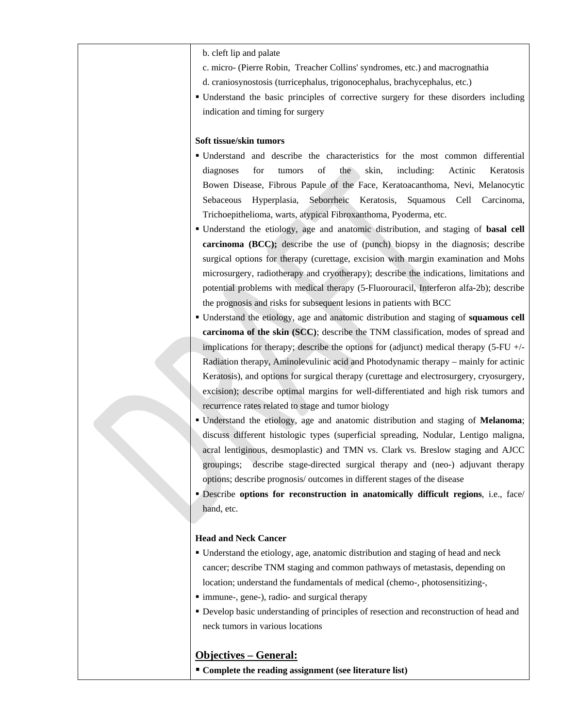- b. cleft lip and palate
- c. micro- (Pierre Robin, Treacher Collins' syndromes, etc.) and macrognathia
- d. craniosynostosis (turricephalus, trigonocephalus, brachycephalus, etc.)
- Understand the basic principles of corrective surgery for these disorders including indication and timing for surgery

# **Soft tissue/skin tumors**

- Understand and describe the characteristics for the most common differential diagnoses for tumors of the skin, including: Actinic Keratosis Bowen Disease, Fibrous Papule of the Face, Keratoacanthoma, Nevi, Melanocytic Sebaceous Hyperplasia, Seborrheic Keratosis, Squamous Cell Carcinoma, Trichoepithelioma, warts, atypical Fibroxanthoma, Pyoderma, etc.
- Understand the etiology, age and anatomic distribution, and staging of **basal cell carcinoma (BCC);** describe the use of (punch) biopsy in the diagnosis; describe surgical options for therapy (curettage, excision with margin examination and Mohs microsurgery, radiotherapy and cryotherapy); describe the indications, limitations and potential problems with medical therapy (5-Fluorouracil, Interferon alfa-2b); describe the prognosis and risks for subsequent lesions in patients with BCC
- Understand the etiology, age and anatomic distribution and staging of **squamous cell carcinoma of the skin (SCC)**; describe the TNM classification, modes of spread and implications for therapy; describe the options for (adjunct) medical therapy (5-FU +/- Radiation therapy, Aminolevulinic acid and Photodynamic therapy – mainly for actinic Keratosis), and options for surgical therapy (curettage and electrosurgery, cryosurgery, excision); describe optimal margins for well-differentiated and high risk tumors and recurrence rates related to stage and tumor biology
- Understand the etiology, age and anatomic distribution and staging of **Melanoma**; discuss different histologic types (superficial spreading, Nodular, Lentigo maligna, acral lentiginous, desmoplastic) and TMN vs. Clark vs. Breslow staging and AJCC groupings; describe stage-directed surgical therapy and (neo-) adjuvant therapy options; describe prognosis/ outcomes in different stages of the disease
- Describe **options for reconstruction in anatomically difficult regions**, i.e., face/ hand, etc.

#### **Head and Neck Cancer**

- Understand the etiology, age, anatomic distribution and staging of head and neck cancer; describe TNM staging and common pathways of metastasis, depending on location; understand the fundamentals of medical (chemo-, photosensitizing-,
- immune-, gene-), radio- and surgical therapy
- Develop basic understanding of principles of resection and reconstruction of head and neck tumors in various locations

## **Objectives – General:**

**Complete the reading assignment (see literature list)**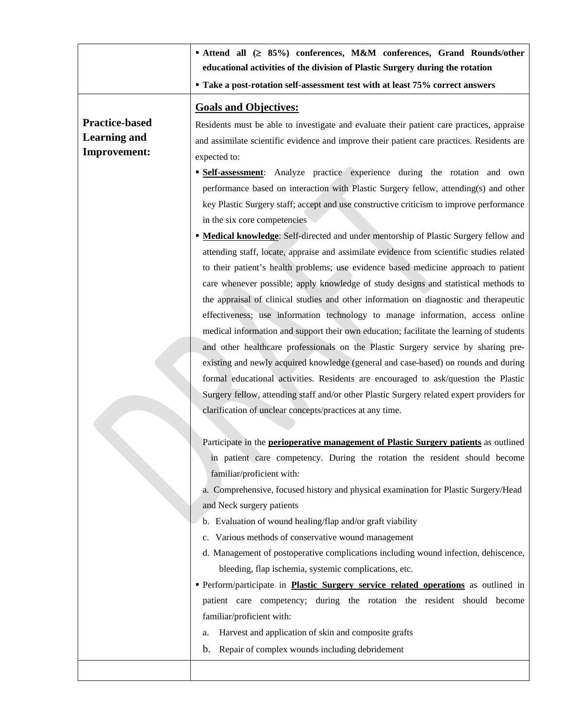|                       | ■ Attend all (≥ 85%) conferences, M&M conferences, Grand Rounds/other                        |
|-----------------------|----------------------------------------------------------------------------------------------|
|                       | educational activities of the division of Plastic Surgery during the rotation                |
|                       | " Take a post-rotation self-assessment test with at least 75% correct answers                |
|                       | <b>Goals and Objectives:</b>                                                                 |
| <b>Practice-based</b> | Residents must be able to investigate and evaluate their patient care practices, appraise    |
| <b>Learning and</b>   | and assimilate scientific evidence and improve their patient care practices. Residents are   |
| <b>Improvement:</b>   | expected to:                                                                                 |
|                       | <b>Self-assessment:</b> Analyze practice experience during the rotation and own              |
|                       | performance based on interaction with Plastic Surgery fellow, attending(s) and other         |
|                       | key Plastic Surgery staff; accept and use constructive criticism to improve performance      |
|                       | in the six core competencies                                                                 |
|                       | <b>• Medical knowledge:</b> Self-directed and under mentorship of Plastic Surgery fellow and |
|                       | attending staff, locate, appraise and assimilate evidence from scientific studies related    |
|                       | to their patient's health problems; use evidence based medicine approach to patient          |
|                       | care whenever possible; apply knowledge of study designs and statistical methods to          |
|                       | the appraisal of clinical studies and other information on diagnostic and therapeutic        |
|                       | effectiveness; use information technology to manage information, access online               |
|                       | medical information and support their own education; facilitate the learning of students     |
|                       | and other healthcare professionals on the Plastic Surgery service by sharing pre-            |
|                       | existing and newly acquired knowledge (general and case-based) on rounds and during          |
|                       | formal educational activities. Residents are encouraged to ask/question the Plastic          |
|                       | Surgery fellow, attending staff and/or other Plastic Surgery related expert providers for    |
|                       | clarification of unclear concepts/practices at any time.                                     |
|                       |                                                                                              |
|                       | Participate in the perioperative management of Plastic Surgery patients as outlined          |
|                       | in patient care competency. During the rotation the resident should become                   |
|                       | familiar/proficient with:                                                                    |
|                       | a. Comprehensive, focused history and physical examination for Plastic Surgery/Head          |
|                       | and Neck surgery patients                                                                    |
|                       | b. Evaluation of wound healing/flap and/or graft viability                                   |
|                       | c. Various methods of conservative wound management                                          |
|                       | d. Management of postoperative complications including wound infection, dehiscence,          |
|                       | bleeding, flap ischemia, systemic complications, etc.                                        |
|                       | Perform/participate in <b>Plastic Surgery service related operations</b> as outlined in      |
|                       | patient care competency; during the rotation the resident should become                      |
|                       | familiar/proficient with:                                                                    |
|                       | Harvest and application of skin and composite grafts<br>a.                                   |
|                       | Repair of complex wounds including debridement<br>$\mathbf{b}$ .                             |
|                       |                                                                                              |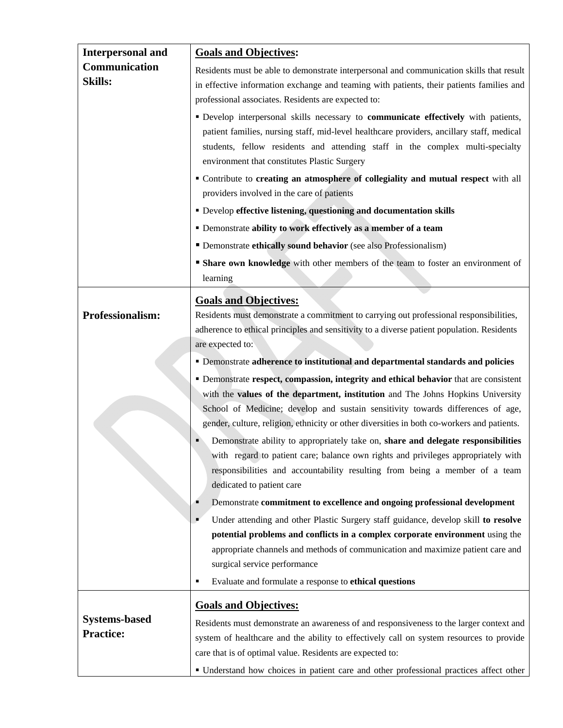| Residents must be able to demonstrate interpersonal and communication skills that result<br>in effective information exchange and teaming with patients, their patients families and                                                                                                                                                                                                                                                                                                                                                       |
|--------------------------------------------------------------------------------------------------------------------------------------------------------------------------------------------------------------------------------------------------------------------------------------------------------------------------------------------------------------------------------------------------------------------------------------------------------------------------------------------------------------------------------------------|
| professional associates. Residents are expected to:                                                                                                                                                                                                                                                                                                                                                                                                                                                                                        |
| " Develop interpersonal skills necessary to communicate effectively with patients,<br>patient families, nursing staff, mid-level healthcare providers, ancillary staff, medical<br>students, fellow residents and attending staff in the complex multi-specialty<br>environment that constitutes Plastic Surgery                                                                                                                                                                                                                           |
| " Contribute to creating an atmosphere of collegiality and mutual respect with all<br>providers involved in the care of patients                                                                                                                                                                                                                                                                                                                                                                                                           |
| • Develop effective listening, questioning and documentation skills                                                                                                                                                                                                                                                                                                                                                                                                                                                                        |
| • Demonstrate ability to work effectively as a member of a team                                                                                                                                                                                                                                                                                                                                                                                                                                                                            |
| • Demonstrate ethically sound behavior (see also Professionalism)                                                                                                                                                                                                                                                                                                                                                                                                                                                                          |
| • Share own knowledge with other members of the team to foster an environment of<br>learning                                                                                                                                                                                                                                                                                                                                                                                                                                               |
| <b>Goals and Objectives:</b><br>Residents must demonstrate a commitment to carrying out professional responsibilities,<br>adherence to ethical principles and sensitivity to a diverse patient population. Residents<br>are expected to:                                                                                                                                                                                                                                                                                                   |
| • Demonstrate adherence to institutional and departmental standards and policies                                                                                                                                                                                                                                                                                                                                                                                                                                                           |
| • Demonstrate respect, compassion, integrity and ethical behavior that are consistent<br>with the <b>values of the department, institution</b> and The Johns Hopkins University<br>School of Medicine; develop and sustain sensitivity towards differences of age,<br>gender, culture, religion, ethnicity or other diversities in both co-workers and patients.<br>Demonstrate ability to appropriately take on, share and delegate responsibilities<br>with regard to patient care; balance own rights and privileges appropriately with |
| responsibilities and accountability resulting from being a member of a team<br>dedicated to patient care                                                                                                                                                                                                                                                                                                                                                                                                                                   |
| Demonstrate commitment to excellence and ongoing professional development<br>Under attending and other Plastic Surgery staff guidance, develop skill to resolve<br>potential problems and conflicts in a complex corporate environment using the<br>appropriate channels and methods of communication and maximize patient care and<br>surgical service performance<br>Evaluate and formulate a response to ethical questions                                                                                                              |
| <b>Goals and Objectives:</b>                                                                                                                                                                                                                                                                                                                                                                                                                                                                                                               |
| Residents must demonstrate an awareness of and responsiveness to the larger context and<br>system of healthcare and the ability to effectively call on system resources to provide<br>care that is of optimal value. Residents are expected to:<br>• Understand how choices in patient care and other professional practices affect other                                                                                                                                                                                                  |
|                                                                                                                                                                                                                                                                                                                                                                                                                                                                                                                                            |